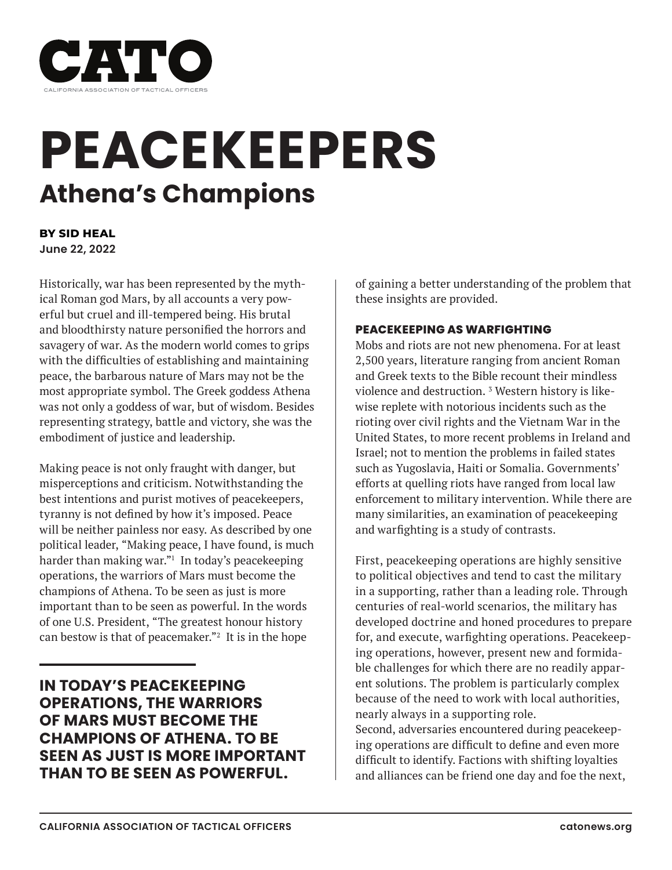

# **PEACEKEEPERS Athena's Champions**

**BY SID HEAL June 22, 2022**

Historically, war has been represented by the mythical Roman god Mars, by all accounts a very powerful but cruel and ill-tempered being. His brutal and bloodthirsty nature personified the horrors and savagery of war. As the modern world comes to grips with the difficulties of establishing and maintaining peace, the barbarous nature of Mars may not be the most appropriate symbol. The Greek goddess Athena was not only a goddess of war, but of wisdom. Besides representing strategy, battle and victory, she was the embodiment of justice and leadership.

Making peace is not only fraught with danger, but misperceptions and criticism. Notwithstanding the best intentions and purist motives of peacekeepers, tyranny is not defined by how it's imposed. Peace will be neither painless nor easy. As described by one political leader, "Making peace, I have found, is much harder than making war."1 In today's peacekeeping operations, the warriors of Mars must become the champions of Athena. To be seen as just is more important than to be seen as powerful. In the words of one U.S. President, "The greatest honour history can bestow is that of peacemaker."2 It is in the hope

**IN TODAY'S PEACEKEEPING OPERATIONS, THE WARRIORS OF MARS MUST BECOME THE CHAMPIONS OF ATHENA. TO BE SEEN AS JUST IS MORE IMPORTANT THAN TO BE SEEN AS POWERFUL.**

of gaining a better understanding of the problem that these insights are provided.

# **PEACEKEEPING AS WARFIGHTING**

Mobs and riots are not new phenomena. For at least 2,500 years, literature ranging from ancient Roman and Greek texts to the Bible recount their mindless violence and destruction.<sup>3</sup> Western history is likewise replete with notorious incidents such as the rioting over civil rights and the Vietnam War in the United States, to more recent problems in Ireland and Israel; not to mention the problems in failed states such as Yugoslavia, Haiti or Somalia. Governments' efforts at quelling riots have ranged from local law enforcement to military intervention. While there are many similarities, an examination of peacekeeping and warfighting is a study of contrasts.

First, peacekeeping operations are highly sensitive to political objectives and tend to cast the military in a supporting, rather than a leading role. Through centuries of real-world scenarios, the military has developed doctrine and honed procedures to prepare for, and execute, warfighting operations. Peacekeeping operations, however, present new and formidable challenges for which there are no readily apparent solutions. The problem is particularly complex because of the need to work with local authorities, nearly always in a supporting role. Second, adversaries encountered during peacekeep-

ing operations are difficult to define and even more difficult to identify. Factions with shifting loyalties and alliances can be friend one day and foe the next,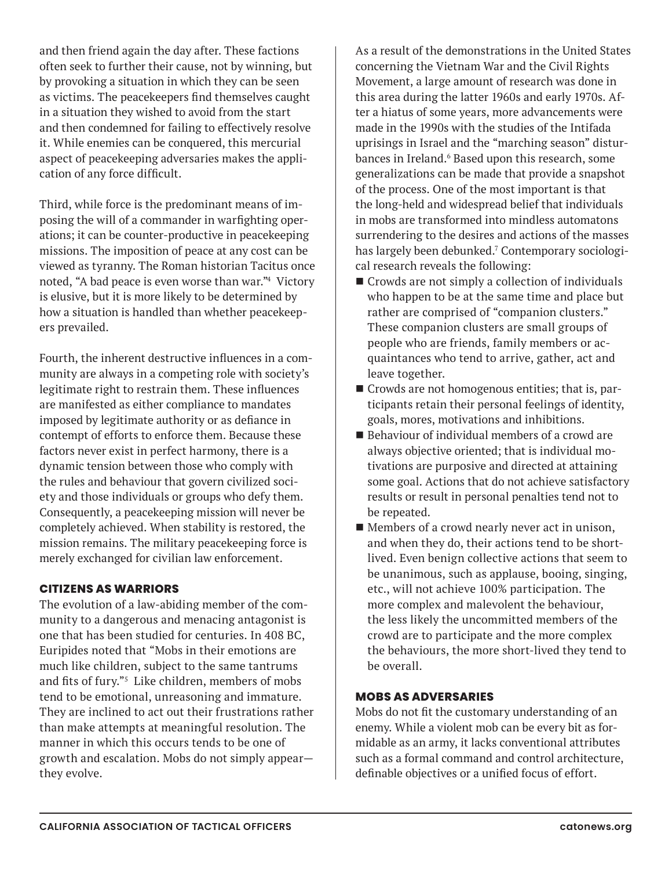and then friend again the day after. These factions often seek to further their cause, not by winning, but by provoking a situation in which they can be seen as victims. The peacekeepers find themselves caught in a situation they wished to avoid from the start and then condemned for failing to effectively resolve it. While enemies can be conquered, this mercurial aspect of peacekeeping adversaries makes the application of any force difficult.

Third, while force is the predominant means of imposing the will of a commander in warfighting operations; it can be counter-productive in peacekeeping missions. The imposition of peace at any cost can be viewed as tyranny. The Roman historian Tacitus once noted, "A bad peace is even worse than war."4 Victory is elusive, but it is more likely to be determined by how a situation is handled than whether peacekeepers prevailed.

Fourth, the inherent destructive influences in a community are always in a competing role with society's legitimate right to restrain them. These influences are manifested as either compliance to mandates imposed by legitimate authority or as defiance in contempt of efforts to enforce them. Because these factors never exist in perfect harmony, there is a dynamic tension between those who comply with the rules and behaviour that govern civilized society and those individuals or groups who defy them. Consequently, a peacekeeping mission will never be completely achieved. When stability is restored, the mission remains. The military peacekeeping force is merely exchanged for civilian law enforcement.

# **CITIZENS AS WARRIORS**

The evolution of a law-abiding member of the community to a dangerous and menacing antagonist is one that has been studied for centuries. In 408 BC, Euripides noted that "Mobs in their emotions are much like children, subject to the same tantrums and fits of fury."<sup>5</sup> Like children, members of mobs tend to be emotional, unreasoning and immature. They are inclined to act out their frustrations rather than make attempts at meaningful resolution. The manner in which this occurs tends to be one of growth and escalation. Mobs do not simply appear they evolve.

As a result of the demonstrations in the United States concerning the Vietnam War and the Civil Rights Movement, a large amount of research was done in this area during the latter 1960s and early 1970s. After a hiatus of some years, more advancements were made in the 1990s with the studies of the Intifada uprisings in Israel and the "marching season" disturbances in Ireland.<sup>6</sup> Based upon this research, some generalizations can be made that provide a snapshot of the process. One of the most important is that the long-held and widespread belief that individuals in mobs are transformed into mindless automatons surrendering to the desires and actions of the masses has largely been debunked.7 Contemporary sociological research reveals the following:

- Crowds are not simply a collection of individuals who happen to be at the same time and place but rather are comprised of "companion clusters." These companion clusters are small groups of people who are friends, family members or acquaintances who tend to arrive, gather, act and leave together.
- Crowds are not homogenous entities; that is, participants retain their personal feelings of identity, goals, mores, motivations and inhibitions.
- Behaviour of individual members of a crowd are always objective oriented; that is individual motivations are purposive and directed at attaining some goal. Actions that do not achieve satisfactory results or result in personal penalties tend not to be repeated.
- $\blacksquare$  Members of a crowd nearly never act in unison, and when they do, their actions tend to be shortlived. Even benign collective actions that seem to be unanimous, such as applause, booing, singing, etc., will not achieve 100% participation. The more complex and malevolent the behaviour, the less likely the uncommitted members of the crowd are to participate and the more complex the behaviours, the more short-lived they tend to be overall.

#### **MOBS AS ADVERSARIES**

Mobs do not fit the customary understanding of an enemy. While a violent mob can be every bit as formidable as an army, it lacks conventional attributes such as a formal command and control architecture, definable objectives or a unified focus of effort.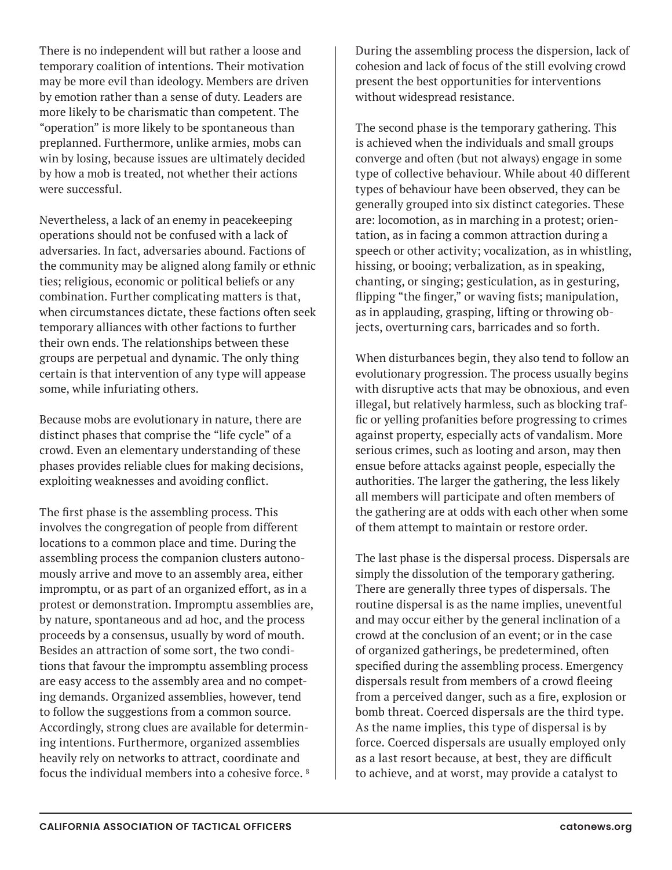There is no independent will but rather a loose and temporary coalition of intentions. Their motivation may be more evil than ideology. Members are driven by emotion rather than a sense of duty. Leaders are more likely to be charismatic than competent. The "operation" is more likely to be spontaneous than preplanned. Furthermore, unlike armies, mobs can win by losing, because issues are ultimately decided by how a mob is treated, not whether their actions were successful.

Nevertheless, a lack of an enemy in peacekeeping operations should not be confused with a lack of adversaries. In fact, adversaries abound. Factions of the community may be aligned along family or ethnic ties; religious, economic or political beliefs or any combination. Further complicating matters is that, when circumstances dictate, these factions often seek temporary alliances with other factions to further their own ends. The relationships between these groups are perpetual and dynamic. The only thing certain is that intervention of any type will appease some, while infuriating others.

Because mobs are evolutionary in nature, there are distinct phases that comprise the "life cycle" of a crowd. Even an elementary understanding of these phases provides reliable clues for making decisions, exploiting weaknesses and avoiding conflict.

The first phase is the assembling process. This involves the congregation of people from different locations to a common place and time. During the assembling process the companion clusters autonomously arrive and move to an assembly area, either impromptu, or as part of an organized effort, as in a protest or demonstration. Impromptu assemblies are, by nature, spontaneous and ad hoc, and the process proceeds by a consensus, usually by word of mouth. Besides an attraction of some sort, the two conditions that favour the impromptu assembling process are easy access to the assembly area and no competing demands. Organized assemblies, however, tend to follow the suggestions from a common source. Accordingly, strong clues are available for determining intentions. Furthermore, organized assemblies heavily rely on networks to attract, coordinate and focus the individual members into a cohesive force. 8

During the assembling process the dispersion, lack of cohesion and lack of focus of the still evolving crowd present the best opportunities for interventions without widespread resistance.

The second phase is the temporary gathering. This is achieved when the individuals and small groups converge and often (but not always) engage in some type of collective behaviour. While about 40 different types of behaviour have been observed, they can be generally grouped into six distinct categories. These are: locomotion, as in marching in a protest; orientation, as in facing a common attraction during a speech or other activity; vocalization, as in whistling, hissing, or booing; verbalization, as in speaking, chanting, or singing; gesticulation, as in gesturing, flipping "the finger," or waving fists; manipulation, as in applauding, grasping, lifting or throwing objects, overturning cars, barricades and so forth.

When disturbances begin, they also tend to follow an evolutionary progression. The process usually begins with disruptive acts that may be obnoxious, and even illegal, but relatively harmless, such as blocking traffic or yelling profanities before progressing to crimes against property, especially acts of vandalism. More serious crimes, such as looting and arson, may then ensue before attacks against people, especially the authorities. The larger the gathering, the less likely all members will participate and often members of the gathering are at odds with each other when some of them attempt to maintain or restore order.

The last phase is the dispersal process. Dispersals are simply the dissolution of the temporary gathering. There are generally three types of dispersals. The routine dispersal is as the name implies, uneventful and may occur either by the general inclination of a crowd at the conclusion of an event; or in the case of organized gatherings, be predetermined, often specified during the assembling process. Emergency dispersals result from members of a crowd fleeing from a perceived danger, such as a fire, explosion or bomb threat. Coerced dispersals are the third type. As the name implies, this type of dispersal is by force. Coerced dispersals are usually employed only as a last resort because, at best, they are difficult to achieve, and at worst, may provide a catalyst to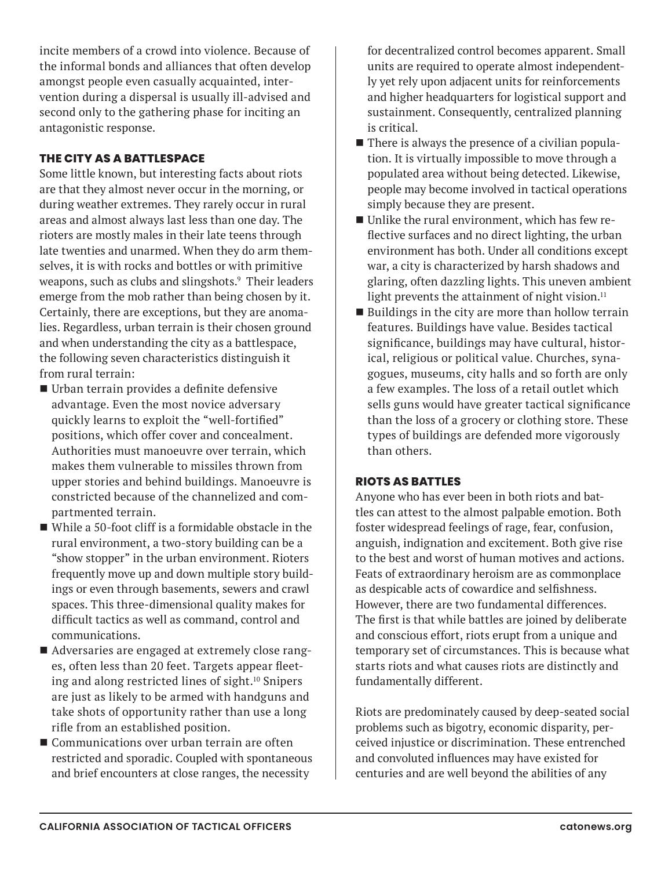incite members of a crowd into violence. Because of the informal bonds and alliances that often develop amongst people even casually acquainted, intervention during a dispersal is usually ill-advised and second only to the gathering phase for inciting an antagonistic response.

### **THE CITY AS A BATTLESPACE**

Some little known, but interesting facts about riots are that they almost never occur in the morning, or during weather extremes. They rarely occur in rural areas and almost always last less than one day. The rioters are mostly males in their late teens through late twenties and unarmed. When they do arm themselves, it is with rocks and bottles or with primitive weapons, such as clubs and slingshots.9 Their leaders emerge from the mob rather than being chosen by it. Certainly, there are exceptions, but they are anomalies. Regardless, urban terrain is their chosen ground and when understanding the city as a battlespace, the following seven characteristics distinguish it from rural terrain:

- Urban terrain provides a definite defensive advantage. Even the most novice adversary quickly learns to exploit the "well-fortified" positions, which offer cover and concealment. Authorities must manoeuvre over terrain, which makes them vulnerable to missiles thrown from upper stories and behind buildings. Manoeuvre is constricted because of the channelized and compartmented terrain.
- While a 50-foot cliff is a formidable obstacle in the rural environment, a two-story building can be a "show stopper" in the urban environment. Rioters frequently move up and down multiple story buildings or even through basements, sewers and crawl spaces. This three-dimensional quality makes for difficult tactics as well as command, control and communications.
- Adversaries are engaged at extremely close ranges, often less than 20 feet. Targets appear fleeting and along restricted lines of sight.<sup>10</sup> Snipers are just as likely to be armed with handguns and take shots of opportunity rather than use a long rifle from an established position.
- Communications over urban terrain are often restricted and sporadic. Coupled with spontaneous and brief encounters at close ranges, the necessity

for decentralized control becomes apparent. Small units are required to operate almost independently yet rely upon adjacent units for reinforcements and higher headquarters for logistical support and sustainment. Consequently, centralized planning is critical.

- There is always the presence of a civilian population. It is virtually impossible to move through a populated area without being detected. Likewise, people may become involved in tactical operations simply because they are present.
- Unlike the rural environment, which has few reflective surfaces and no direct lighting, the urban environment has both. Under all conditions except war, a city is characterized by harsh shadows and glaring, often dazzling lights. This uneven ambient light prevents the attainment of night vision. $11$
- $\blacksquare$  Buildings in the city are more than hollow terrain features. Buildings have value. Besides tactical significance, buildings may have cultural, historical, religious or political value. Churches, synagogues, museums, city halls and so forth are only a few examples. The loss of a retail outlet which sells guns would have greater tactical significance than the loss of a grocery or clothing store. These types of buildings are defended more vigorously than others.

#### **RIOTS AS BATTLES**

Anyone who has ever been in both riots and battles can attest to the almost palpable emotion. Both foster widespread feelings of rage, fear, confusion, anguish, indignation and excitement. Both give rise to the best and worst of human motives and actions. Feats of extraordinary heroism are as commonplace as despicable acts of cowardice and selfishness. However, there are two fundamental differences. The first is that while battles are joined by deliberate and conscious effort, riots erupt from a unique and temporary set of circumstances. This is because what starts riots and what causes riots are distinctly and fundamentally different.

Riots are predominately caused by deep-seated social problems such as bigotry, economic disparity, perceived injustice or discrimination. These entrenched and convoluted influences may have existed for centuries and are well beyond the abilities of any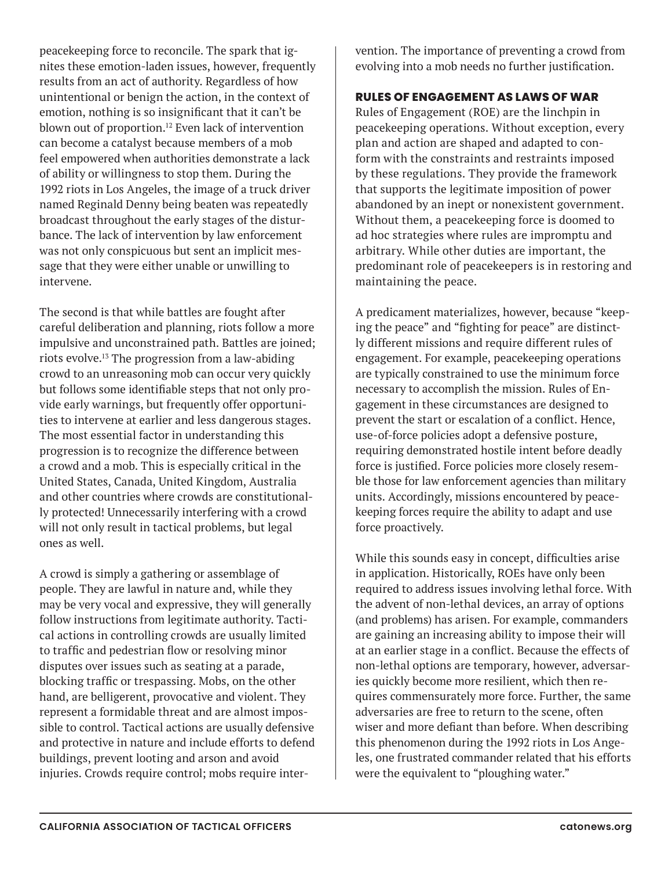peacekeeping force to reconcile. The spark that ignites these emotion-laden issues, however, frequently results from an act of authority. Regardless of how unintentional or benign the action, in the context of emotion, nothing is so insignificant that it can't be blown out of proportion.<sup>12</sup> Even lack of intervention can become a catalyst because members of a mob feel empowered when authorities demonstrate a lack of ability or willingness to stop them. During the 1992 riots in Los Angeles, the image of a truck driver named Reginald Denny being beaten was repeatedly broadcast throughout the early stages of the disturbance. The lack of intervention by law enforcement was not only conspicuous but sent an implicit message that they were either unable or unwilling to intervene.

The second is that while battles are fought after careful deliberation and planning, riots follow a more impulsive and unconstrained path. Battles are joined; riots evolve.13 The progression from a law-abiding crowd to an unreasoning mob can occur very quickly but follows some identifiable steps that not only provide early warnings, but frequently offer opportunities to intervene at earlier and less dangerous stages. The most essential factor in understanding this progression is to recognize the difference between a crowd and a mob. This is especially critical in the United States, Canada, United Kingdom, Australia and other countries where crowds are constitutionally protected! Unnecessarily interfering with a crowd will not only result in tactical problems, but legal ones as well.

A crowd is simply a gathering or assemblage of people. They are lawful in nature and, while they may be very vocal and expressive, they will generally follow instructions from legitimate authority. Tactical actions in controlling crowds are usually limited to traffic and pedestrian flow or resolving minor disputes over issues such as seating at a parade, blocking traffic or trespassing. Mobs, on the other hand, are belligerent, provocative and violent. They represent a formidable threat and are almost impossible to control. Tactical actions are usually defensive and protective in nature and include efforts to defend buildings, prevent looting and arson and avoid injuries. Crowds require control; mobs require intervention. The importance of preventing a crowd from evolving into a mob needs no further justification.

### **RULES OF ENGAGEMENT AS LAWS OF WAR**

Rules of Engagement (ROE) are the linchpin in peacekeeping operations. Without exception, every plan and action are shaped and adapted to conform with the constraints and restraints imposed by these regulations. They provide the framework that supports the legitimate imposition of power abandoned by an inept or nonexistent government. Without them, a peacekeeping force is doomed to ad hoc strategies where rules are impromptu and arbitrary. While other duties are important, the predominant role of peacekeepers is in restoring and maintaining the peace.

A predicament materializes, however, because "keeping the peace" and "fighting for peace" are distinctly different missions and require different rules of engagement. For example, peacekeeping operations are typically constrained to use the minimum force necessary to accomplish the mission. Rules of Engagement in these circumstances are designed to prevent the start or escalation of a conflict. Hence, use-of-force policies adopt a defensive posture, requiring demonstrated hostile intent before deadly force is justified. Force policies more closely resemble those for law enforcement agencies than military units. Accordingly, missions encountered by peacekeeping forces require the ability to adapt and use force proactively.

While this sounds easy in concept, difficulties arise in application. Historically, ROEs have only been required to address issues involving lethal force. With the advent of non-lethal devices, an array of options (and problems) has arisen. For example, commanders are gaining an increasing ability to impose their will at an earlier stage in a conflict. Because the effects of non-lethal options are temporary, however, adversaries quickly become more resilient, which then requires commensurately more force. Further, the same adversaries are free to return to the scene, often wiser and more defiant than before. When describing this phenomenon during the 1992 riots in Los Angeles, one frustrated commander related that his efforts were the equivalent to "ploughing water."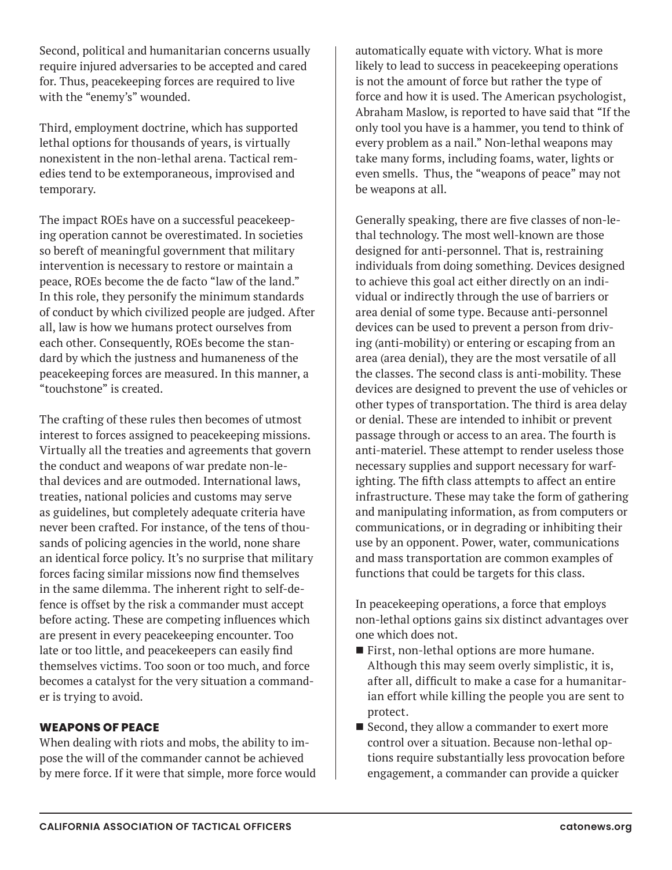Second, political and humanitarian concerns usually require injured adversaries to be accepted and cared for. Thus, peacekeeping forces are required to live with the "enemy's" wounded.

Third, employment doctrine, which has supported lethal options for thousands of years, is virtually nonexistent in the non-lethal arena. Tactical remedies tend to be extemporaneous, improvised and temporary.

The impact ROEs have on a successful peacekeeping operation cannot be overestimated. In societies so bereft of meaningful government that military intervention is necessary to restore or maintain a peace, ROEs become the de facto "law of the land." In this role, they personify the minimum standards of conduct by which civilized people are judged. After all, law is how we humans protect ourselves from each other. Consequently, ROEs become the standard by which the justness and humaneness of the peacekeeping forces are measured. In this manner, a "touchstone" is created.

The crafting of these rules then becomes of utmost interest to forces assigned to peacekeeping missions. Virtually all the treaties and agreements that govern the conduct and weapons of war predate non-lethal devices and are outmoded. International laws, treaties, national policies and customs may serve as guidelines, but completely adequate criteria have never been crafted. For instance, of the tens of thousands of policing agencies in the world, none share an identical force policy. It's no surprise that military forces facing similar missions now find themselves in the same dilemma. The inherent right to self-defence is offset by the risk a commander must accept before acting. These are competing influences which are present in every peacekeeping encounter. Too late or too little, and peacekeepers can easily find themselves victims. Too soon or too much, and force becomes a catalyst for the very situation a commander is trying to avoid.

#### **WEAPONS OF PEACE**

When dealing with riots and mobs, the ability to impose the will of the commander cannot be achieved by mere force. If it were that simple, more force would automatically equate with victory. What is more likely to lead to success in peacekeeping operations is not the amount of force but rather the type of force and how it is used. The American psychologist, Abraham Maslow, is reported to have said that "If the only tool you have is a hammer, you tend to think of every problem as a nail." Non-lethal weapons may take many forms, including foams, water, lights or even smells. Thus, the "weapons of peace" may not be weapons at all.

Generally speaking, there are five classes of non-lethal technology. The most well-known are those designed for anti-personnel. That is, restraining individuals from doing something. Devices designed to achieve this goal act either directly on an individual or indirectly through the use of barriers or area denial of some type. Because anti-personnel devices can be used to prevent a person from driving (anti-mobility) or entering or escaping from an area (area denial), they are the most versatile of all the classes. The second class is anti-mobility. These devices are designed to prevent the use of vehicles or other types of transportation. The third is area delay or denial. These are intended to inhibit or prevent passage through or access to an area. The fourth is anti-materiel. These attempt to render useless those necessary supplies and support necessary for warfighting. The fifth class attempts to affect an entire infrastructure. These may take the form of gathering and manipulating information, as from computers or communications, or in degrading or inhibiting their use by an opponent. Power, water, communications and mass transportation are common examples of functions that could be targets for this class.

In peacekeeping operations, a force that employs non-lethal options gains six distinct advantages over one which does not.

- First, non-lethal options are more humane. Although this may seem overly simplistic, it is, after all, difficult to make a case for a humanitarian effort while killing the people you are sent to protect.
- Second, they allow a commander to exert more control over a situation. Because non-lethal options require substantially less provocation before engagement, a commander can provide a quicker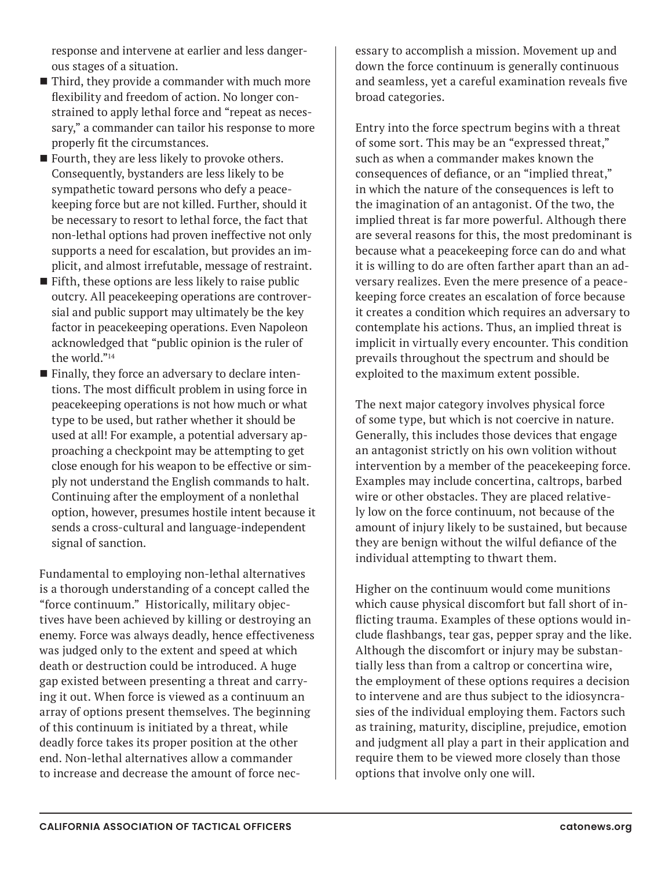response and intervene at earlier and less dangerous stages of a situation.

- $\blacksquare$  Third, they provide a commander with much more flexibility and freedom of action. No longer constrained to apply lethal force and "repeat as necessary," a commander can tailor his response to more properly fit the circumstances.
- $\blacksquare$  Fourth, they are less likely to provoke others. Consequently, bystanders are less likely to be sympathetic toward persons who defy a peacekeeping force but are not killed. Further, should it be necessary to resort to lethal force, the fact that non-lethal options had proven ineffective not only supports a need for escalation, but provides an implicit, and almost irrefutable, message of restraint.
- $\blacksquare$  Fifth, these options are less likely to raise public outcry. All peacekeeping operations are controversial and public support may ultimately be the key factor in peacekeeping operations. Even Napoleon acknowledged that "public opinion is the ruler of the world."14
- Finally, they force an adversary to declare intentions. The most difficult problem in using force in peacekeeping operations is not how much or what type to be used, but rather whether it should be used at all! For example, a potential adversary approaching a checkpoint may be attempting to get close enough for his weapon to be effective or simply not understand the English commands to halt. Continuing after the employment of a nonlethal option, however, presumes hostile intent because it sends a cross-cultural and language-independent signal of sanction.

Fundamental to employing non-lethal alternatives is a thorough understanding of a concept called the "force continuum." Historically, military objectives have been achieved by killing or destroying an enemy. Force was always deadly, hence effectiveness was judged only to the extent and speed at which death or destruction could be introduced. A huge gap existed between presenting a threat and carrying it out. When force is viewed as a continuum an array of options present themselves. The beginning of this continuum is initiated by a threat, while deadly force takes its proper position at the other end. Non-lethal alternatives allow a commander to increase and decrease the amount of force nec-

essary to accomplish a mission. Movement up and down the force continuum is generally continuous and seamless, yet a careful examination reveals five broad categories.

Entry into the force spectrum begins with a threat of some sort. This may be an "expressed threat," such as when a commander makes known the consequences of defiance, or an "implied threat," in which the nature of the consequences is left to the imagination of an antagonist. Of the two, the implied threat is far more powerful. Although there are several reasons for this, the most predominant is because what a peacekeeping force can do and what it is willing to do are often farther apart than an adversary realizes. Even the mere presence of a peacekeeping force creates an escalation of force because it creates a condition which requires an adversary to contemplate his actions. Thus, an implied threat is implicit in virtually every encounter. This condition prevails throughout the spectrum and should be exploited to the maximum extent possible.

The next major category involves physical force of some type, but which is not coercive in nature. Generally, this includes those devices that engage an antagonist strictly on his own volition without intervention by a member of the peacekeeping force. Examples may include concertina, caltrops, barbed wire or other obstacles. They are placed relatively low on the force continuum, not because of the amount of injury likely to be sustained, but because they are benign without the wilful defiance of the individual attempting to thwart them.

Higher on the continuum would come munitions which cause physical discomfort but fall short of inflicting trauma. Examples of these options would include flashbangs, tear gas, pepper spray and the like. Although the discomfort or injury may be substantially less than from a caltrop or concertina wire, the employment of these options requires a decision to intervene and are thus subject to the idiosyncrasies of the individual employing them. Factors such as training, maturity, discipline, prejudice, emotion and judgment all play a part in their application and require them to be viewed more closely than those options that involve only one will.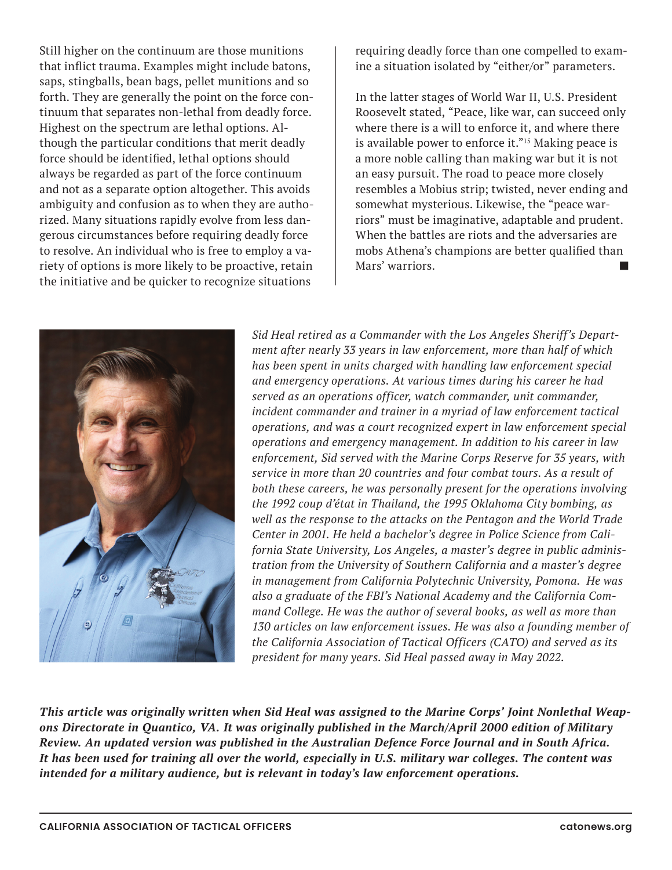Still higher on the continuum are those munitions that inflict trauma. Examples might include batons, saps, stingballs, bean bags, pellet munitions and so forth. They are generally the point on the force continuum that separates non-lethal from deadly force. Highest on the spectrum are lethal options. Although the particular conditions that merit deadly force should be identified, lethal options should always be regarded as part of the force continuum and not as a separate option altogether. This avoids ambiguity and confusion as to when they are authorized. Many situations rapidly evolve from less dangerous circumstances before requiring deadly force to resolve. An individual who is free to employ a variety of options is more likely to be proactive, retain the initiative and be quicker to recognize situations

requiring deadly force than one compelled to examine a situation isolated by "either/or" parameters.

In the latter stages of World War II, U.S. President Roosevelt stated, "Peace, like war, can succeed only where there is a will to enforce it, and where there is available power to enforce it."<sup>15</sup> Making peace is a more noble calling than making war but it is not an easy pursuit. The road to peace more closely resembles a Mobius strip; twisted, never ending and somewhat mysterious. Likewise, the "peace warriors" must be imaginative, adaptable and prudent. When the battles are riots and the adversaries are mobs Athena's champions are better qualified than Mars' warriors.



*Sid Heal retired as a Commander with the Los Angeles Sheriff's Department after nearly 33 years in law enforcement, more than half of which has been spent in units charged with handling law enforcement special and emergency operations. At various times during his career he had served as an operations officer, watch commander, unit commander, incident commander and trainer in a myriad of law enforcement tactical operations, and was a court recognized expert in law enforcement special operations and emergency management. In addition to his career in law enforcement, Sid served with the Marine Corps Reserve for 35 years, with service in more than 20 countries and four combat tours. As a result of both these careers, he was personally present for the operations involving the 1992 coup d'état in Thailand, the 1995 Oklahoma City bombing, as well as the response to the attacks on the Pentagon and the World Trade Center in 2001. He held a bachelor's degree in Police Science from California State University, Los Angeles, a master's degree in public administration from the University of Southern California and a master's degree in management from California Polytechnic University, Pomona. He was also a graduate of the FBI's National Academy and the California Command College. He was the author of several books, as well as more than 130 articles on law enforcement issues. He was also a founding member of the California Association of Tactical Officers (CATO) and served as its president for many years. Sid Heal passed away in May 2022.*

*This article was originally written when Sid Heal was assigned to the Marine Corps' Joint Nonlethal Weapons Directorate in Quantico, VA. It was originally published in the March/April 2000 edition of Military Review. An updated version was published in the Australian Defence Force Journal and in South Africa. It has been used for training all over the world, especially in U.S. military war colleges. The content was intended for a military audience, but is relevant in today's law enforcement operations.*